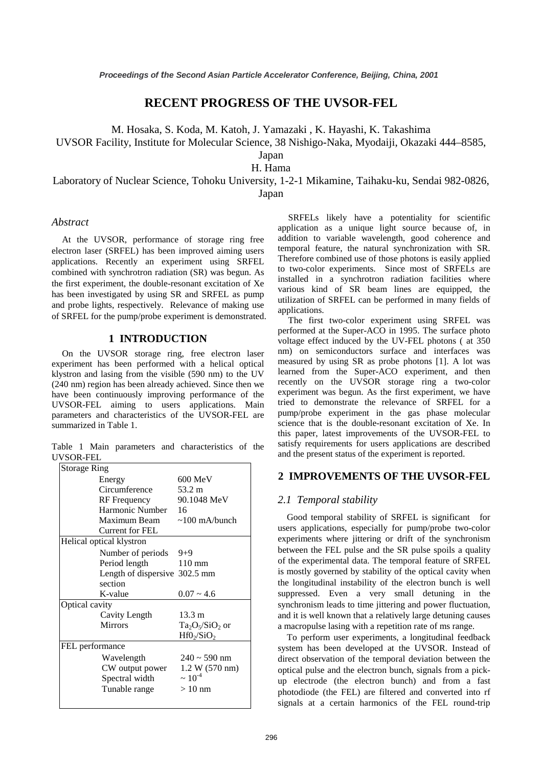# **RECENT PROGRESS OF THE UVSOR-FEL**

M. Hosaka, S. Koda, M. Katoh, J. Yamazaki , K. Hayashi, K. Takashima

UVSOR Facility, Institute for Molecular Science, 38 Nishigo-Naka, Myodaiji, Okazaki 444–8585,

Japan

H. Hama

Laboratory of Nuclear Science, Tohoku University, 1-2-1 Mikamine, Taihaku-ku, Sendai 982-0826, Japan

## *Abstract*

At the UVSOR, performance of storage ring free electron laser (SRFEL) has been improved aiming users applications. Recently an experiment using SRFEL combined with synchrotron radiation (SR) was begun. As the first experiment, the double-resonant excitation of Xe has been investigated by using SR and SRFEL as pump and probe lights, respectively. Relevance of making use of SRFEL for the pump/probe experiment is demonstrated.

# **1 INTRODUCTION**

On the UVSOR storage ring, free electron laser experiment has been performed with a helical optical klystron and lasing from the visible (590 nm) to the UV (240 nm) region has been already achieved. Since then we have been continuously improving performance of the UVSOR-FEL aiming to users applications. Main parameters and characteristics of the UVSOR-FEL are summarized in Table 1.

Table 1 Main parameters and characteristics of the UVSOR-FEL

| <b>Storage Ring</b>              |                    |
|----------------------------------|--------------------|
| Energy                           | $600 \text{ MeV}$  |
| Circumference                    | 53.2 m             |
| RF Frequency                     | 90.1048 MeV        |
| Harmonic Number 16               |                    |
| Maximum Beam $\sim 100$ mA/bunch |                    |
| Current for FEL                  |                    |
| Helical optical klystron         |                    |
| Number of periods $9+9$          |                    |
| Period length                    | 110 mm             |
| Length of dispersive 302.5 mm    |                    |
| section                          |                    |
| K-value                          | $0.07 - 4.6$       |
| Optical cavity                   |                    |
| Cavity Length                    | $13.3 \text{ m}$   |
| <b>Mirrors</b>                   | $Ta_2O_5/SiO_2$ or |
|                                  | $Hf0_2/SiO_2$      |
| FEL performance                  |                    |
| Wavelength                       | $240 \sim 590$ nm  |
| CW output power                  | 1.2 W (570 nm)     |
| Spectral width                   | $\sim 10^{-4}$     |
| Tunable range                    | $>10$ nm           |
|                                  |                    |

SRFELs likely have a potentiality for scientific application as a unique light source because of, in addition to variable wavelength, good coherence and temporal feature, the natural synchronization with SR. Therefore combined use of those photons is easily applied to two-color experiments. Since most of SRFELs are installed in a synchrotron radiation facilities where various kind of SR beam lines are equipped, the utilization of SRFEL can be performed in many fields of applications.

The first two-color experiment using SRFEL was performed at the Super-ACO in 1995. The surface photo voltage effect induced by the UV-FEL photons ( at 350 nm) on semiconductors surface and interfaces was measured by using SR as probe photons [1]. A lot was learned from the Super-ACO experiment, and then recently on the UVSOR storage ring a two-color experiment was begun. As the first experiment, we have tried to demonstrate the relevance of SRFEL for a pump/probe experiment in the gas phase molecular science that is the double-resonant excitation of Xe. In this paper, latest improvements of the UVSOR-FEL to satisfy requirements for users applications are described and the present status of the experiment is reported.

## **2 IMPROVEMENTS OF THE UVSOR-FEL**

#### *2.1 Temporal stability*

Good temporal stability of SRFEL is significant for users applications, especially for pump/probe two-color experiments where jittering or drift of the synchronism between the FEL pulse and the SR pulse spoils a quality of the experimental data. The temporal feature of SRFEL is mostly governed by stability of the optical cavity when the longitudinal instability of the electron bunch is well suppressed. Even a very small detuning in the synchronism leads to time jittering and power fluctuation, and it is well known that a relatively large detuning causes a macropulse lasing with a repetition rate of ms range.

To perform user experiments, a longitudinal feedback system has been developed at the UVSOR. Instead of direct observation of the temporal deviation between the optical pulse and the electron bunch, signals from a pickup electrode (the electron bunch) and from a fast photodiode (the FEL) are filtered and converted into rf signals at a certain harmonics of the FEL round-trip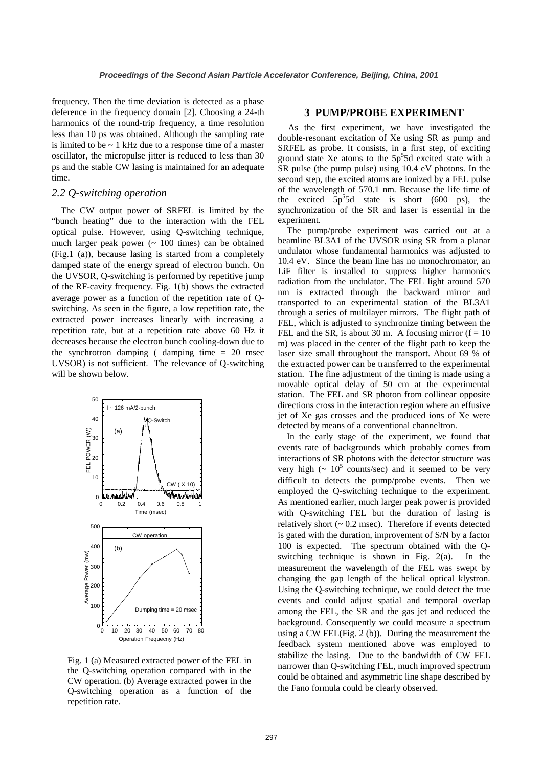frequency. Then the time deviation is detected as a phase deference in the frequency domain [2]. Choosing a 24-th harmonics of the round-trip frequency, a time resolution less than 10 ps was obtained. Although the sampling rate is limited to be ~ 1 kHz due to a response time of a master oscillator, the micropulse jitter is reduced to less than 30 ps and the stable CW lasing is maintained for an adequate time.

# *2.2 Q-switching operation*

The CW output power of SRFEL is limited by the "bunch heating" due to the interaction with the FEL optical pulse. However, using Q-switching technique, much larger peak power  $($   $\sim$  100 times) can be obtained (Fig.1 (a)), because lasing is started from a completely damped state of the energy spread of electron bunch. On the UVSOR, Q-switching is performed by repetitive jump of the RF-cavity frequency. Fig. 1(b) shows the extracted average power as a function of the repetition rate of Qswitching. As seen in the figure, a low repetition rate, the extracted power increases linearly with increasing a repetition rate, but at a repetition rate above 60 Hz it decreases because the electron bunch cooling-down due to the synchrotron damping ( damping time  $= 20$  msec UVSOR) is not sufficient. The relevance of Q-switching will be shown below.



Fig. 1 (a) Measured extracted power of the FEL in the Q-switching operation compared with in the CW operation. (b) Average extracted power in the Q-switching operation as a function of the repetition rate.

## **3 PUMP/PROBE EXPERIMENT**

As the first experiment, we have investigated the double-resonant excitation of Xe using SR as pump and SRFEL as probe. It consists, in a first step, of exciting ground state Xe atoms to the  $5p<sup>5</sup>5d$  excited state with a SR pulse (the pump pulse) using 10.4 eV photons. In the second step, the excited atoms are ionized by a FEL pulse of the wavelength of 570.1 nm. Because the life time of the excited  $5p^55d$  state is short (600 ps), the synchronization of the SR and laser is essential in the experiment.

The pump/probe experiment was carried out at a beamline BL3A1 of the UVSOR using SR from a planar undulator whose fundamental harmonics was adjusted to 10.4 eV. Since the beam line has no monochromator, an LiF filter is installed to suppress higher harmonics radiation from the undulator. The FEL light around 570 nm is extracted through the backward mirror and transported to an experimental station of the BL3A1 through a series of multilayer mirrors. The flight path of FEL, which is adjusted to synchronize timing between the FEL and the SR, is about 30 m. A focusing mirror  $(f = 10$ m) was placed in the center of the flight path to keep the laser size small throughout the transport. About 69 % of the extracted power can be transferred to the experimental station. The fine adjustment of the timing is made using a movable optical delay of 50 cm at the experimental station. The FEL and SR photon from collinear opposite directions cross in the interaction region where an effusive jet of Xe gas crosses and the produced ions of Xe were detected by means of a conventional channeltron.

In the early stage of the experiment, we found that events rate of backgrounds which probably comes from interactions of SR photons with the detector structure was very high  $(~ 10^5$  counts/sec) and it seemed to be very difficult to detects the pump/probe events. Then we employed the Q-switching technique to the experiment. As mentioned earlier, much larger peak power is provided with Q-switching FEL but the duration of lasing is relatively short  $($   $\sim$  0.2 msec). Therefore if events detected is gated with the duration, improvement of S/N by a factor 100 is expected. The spectrum obtained with the Qswitching technique is shown in Fig. 2(a). In the measurement the wavelength of the FEL was swept by changing the gap length of the helical optical klystron. Using the Q-switching technique, we could detect the true events and could adjust spatial and temporal overlap among the FEL, the SR and the gas jet and reduced the background. Consequently we could measure a spectrum using a CW FEL(Fig. 2 (b)). During the measurement the feedback system mentioned above was employed to stabilize the lasing. Due to the bandwidth of CW FEL narrower than Q-switching FEL, much improved spectrum could be obtained and asymmetric line shape described by the Fano formula could be clearly observed.